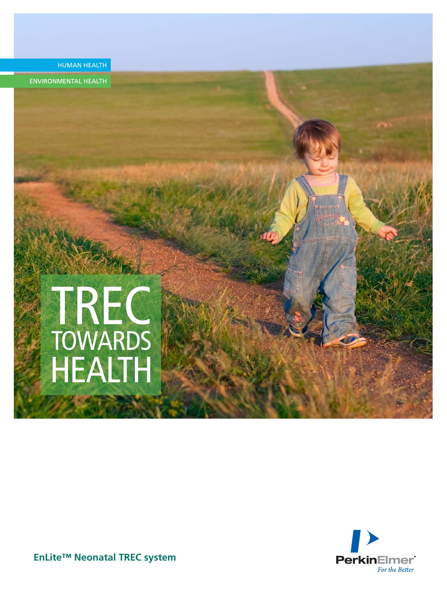

**ENVIRONMENTAL HEALTH** 

# TREC **TOWARDS** HEALTH



**EnLite™ Neonatal TREC system**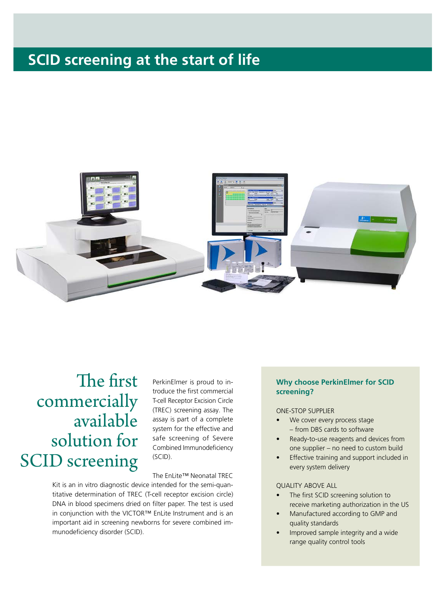### **SCID screening at the start of life**



# The first commercially available solution for SCID screening

PerkinElmer is proud to introduce the first commercial T-cell Receptor Excision Circle (TREC) screening assay. The assay is part of a complete system for the effective and safe screening of Severe Combined Immunodeficiency (SCID).

The EnLite™ Neonatal TREC

Kit is an in vitro diagnostic device intended for the semi-quantitative determination of TREC (T-cell receptor excision circle) DNA in blood specimens dried on filter paper. The test is used in conjunction with the VICTOR™ EnLite Instrument and is an important aid in screening newborns for severe combined immunodeficiency disorder (SCID).

### **Why choose PerkinElmer for SCID screening?**

#### ONE-STOP SUPPLIER

- We cover every process stage – from DBS cards to software
- Ready-to-use reagents and devices from one supplier – no need to custom build
- Effective training and support included in every system delivery

#### QUALITY ABOVE ALL

- The first SCID screening solution to receive marketing authorization in the US
- Manufactured according to GMP and quality standards
- Improved sample integrity and a wide range quality control tools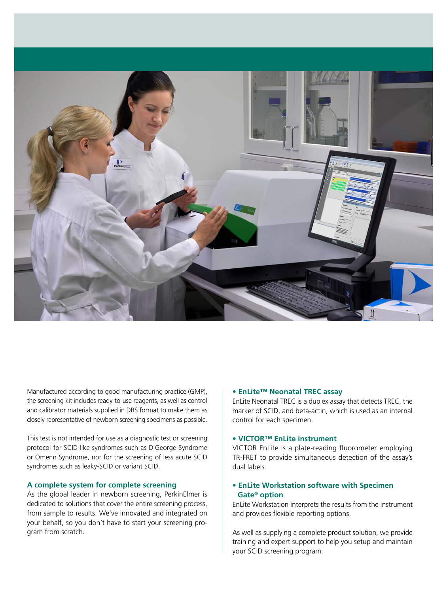

Manufactured according to good manufacturing practice (GMP), the screening kit includes ready-to-use reagents, as well as control and calibrator materials supplied in DBS format to make them as closely representative of newborn screening specimens as possible.

This test is not intended for use as a diagnostic test or screening protocol for SCID-like syndromes such as DiGeorge Syndrome or Omenn Syndrome, nor for the screening of less acute SCID syndromes such as leaky-SCID or variant SCID.

### **A complete system for complete screening**

As the global leader in newborn screening, PerkinElmer is dedicated to solutions that cover the entire screening process, from sample to results. We've innovated and integrated on your behalf, so you don't have to start your screening program from scratch.

#### **• EnLite™ Neonatal TREC assay**

EnLite Neonatal TREC is a duplex assay that detects TREC, the marker of SCID, and beta-actin, which is used as an internal control for each specimen.

### **• VICTOR™ EnLite instrument**

VICTOR EnLite is a plate-reading fluorometer employing TR-FRET to provide simultaneous detection of the assay's dual labels.

### **• EnLite Workstation software with Specimen Gate® option**

EnLite Workstation interprets the results from the instrument and provides flexible reporting options.

As well as supplying a complete product solution, we provide training and expert support to help you setup and maintain your SCID screening program.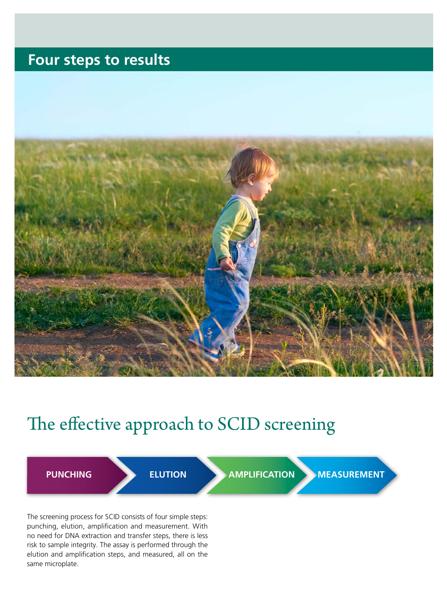### **Four steps to results**



# The effective approach to SCID screening

**PUNCHING ELUTION AMPLIFICATION MEASUREMENT** 

The screening process for SCID consists of four simple steps: punching, elution, amplification and measurement. With no need for DNA extraction and transfer steps, there is less risk to sample integrity. The assay is performed through the elution and amplification steps, and measured, all on the same microplate.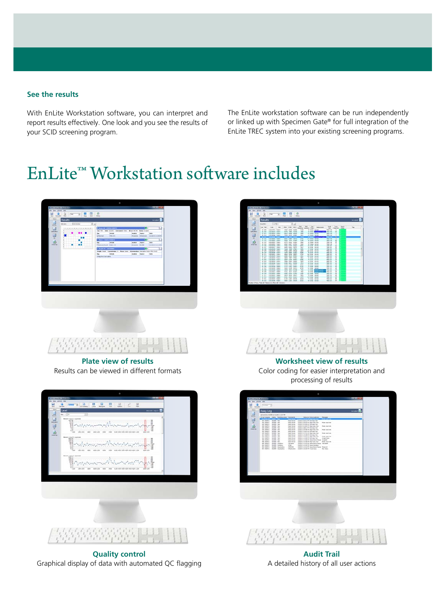### **See the results**

With EnLite Workstation software, you can interpret and report results effectively. One look and you see the results of your SCID screening program.

The EnLite workstation software can be run independently or linked up with Specimen Gate® for full integration of the EnLite TREC system into your existing screening programs.

# EnLite™ Workstation software includes



**Quality control** Graphical display of data with automated QC flagging



**Worksheet view of results** Color coding for easier interpretation and processing of results



**Audit Trail** A detailed history of all user actions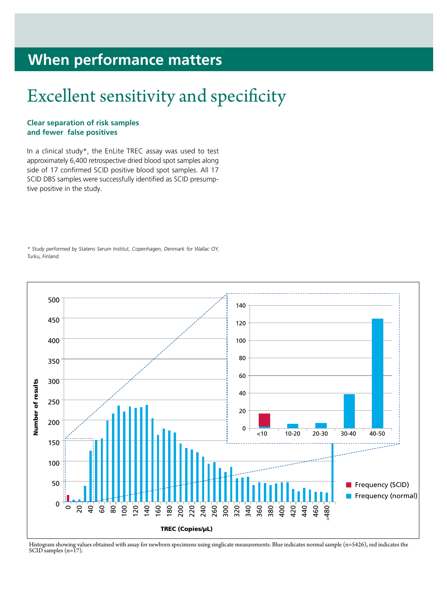### **When performance matters**

# Excellent sensitivity and specificity

### **Clear separation of risk samples and fewer false positives**

In a clinical study\*, the EnLite TREC assay was used to test approximately 6,400 retrospective dried blood spot samples along side of 17 confirmed SCID positive blood spot samples. All 17 SCID DBS samples were successfully identified as SCID presumptive positive in the study.

\* Study performed by Statens Serum Institut, Copenhagen, Denmark for Wallac OY, Turku, Finland.



Histogram showing values obtained with assay for newborn specimens using singlicate measurements. Blue indicates normal sample (n=5426), red indicates the SCID samples (n=17).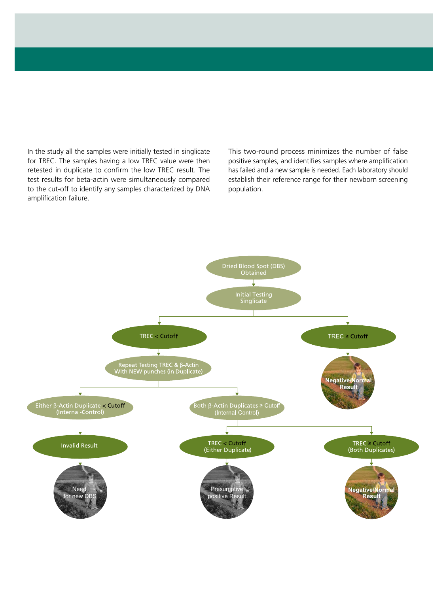In the study all the samples were initially tested in singlicate for TREC. The samples having a low TREC value were then retested in duplicate to confirm the low TREC result. The test results for beta-actin were simultaneously compared to the cut-off to identify any samples characterized by DNA amplification failure.

This two-round process minimizes the number of false positive samples, and identifies samples where amplification has failed and a new sample is needed. Each laboratory should establish their reference range for their newborn screening population.